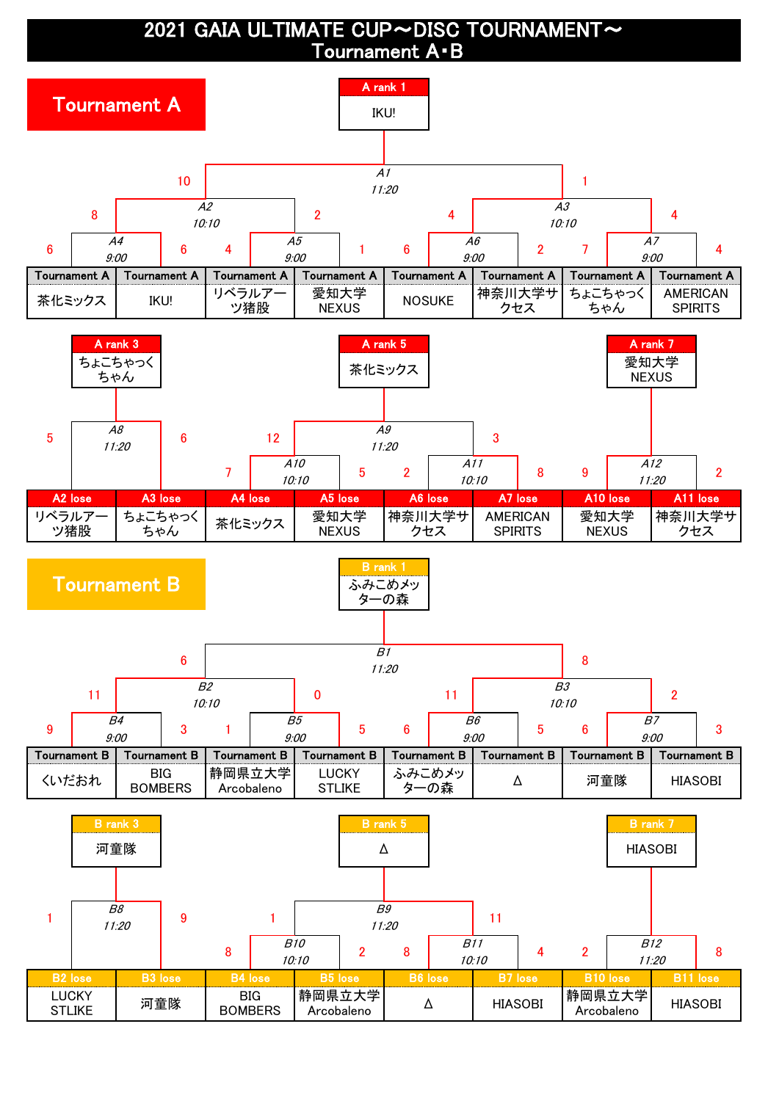2021 GAIA ULTIMATE CUP~DISC TOURNAMENT~ Tournament A・B

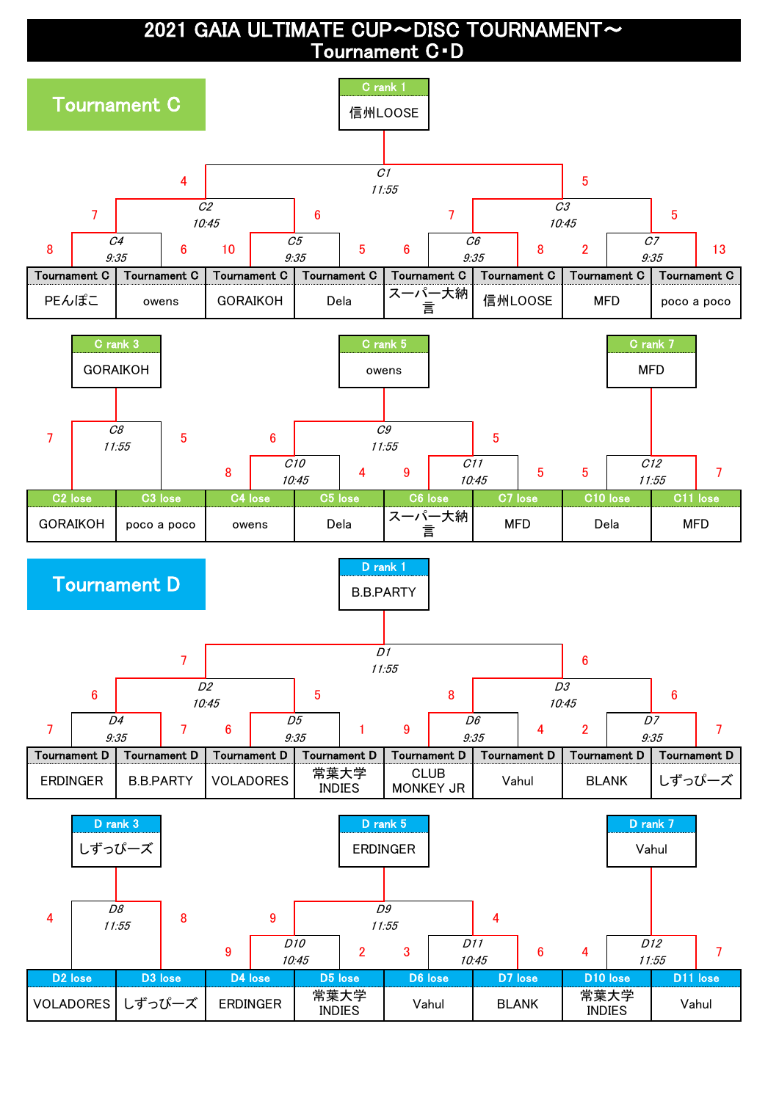2021 GAIA ULTIMATE CUP~DISC TOURNAMENT~ Tournament C・D

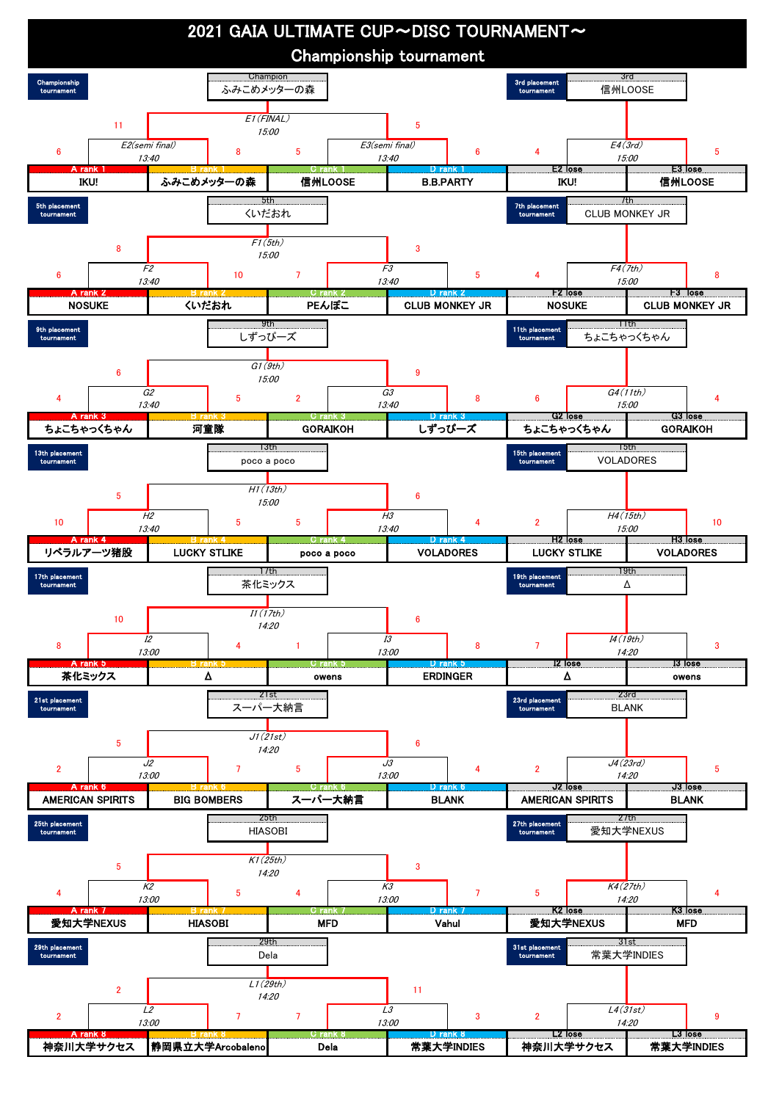